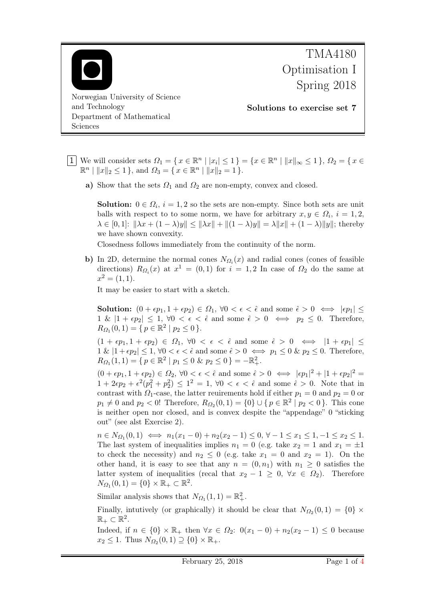

- 1 We will consider sets  $\Omega_1 = \{x \in \mathbb{R}^n \mid |x_i| \leq 1\} = \{x \in \mathbb{R}^n \mid ||x||_{\infty} \leq 1\}, \Omega_2 = \{x \in \mathbb{R}^n \mid x_i \in \mathbb{R}^n\}$  $\mathbb{R}^n \mid ||x||_2 \le 1$ , and  $\Omega_3 = \{ x \in \mathbb{R}^n \mid ||x||_2 = 1 \}.$ 
	- a) Show that the sets  $\Omega_1$  and  $\Omega_2$  are non-empty, convex and closed.

**Solution:**  $0 \in \Omega_i$ ,  $i = 1, 2$  so the sets are non-empty. Since both sets are unit balls with respect to to some norm, we have for arbitrary  $x, y \in \Omega_i$ ,  $i = 1, 2$ ,  $\lambda \in [0,1]$ :  $\|\lambda x + (1 - \lambda)y\| \le \|\lambda x\| + \|(1 - \lambda)y\| = \lambda \|x\| + (1 - \lambda)\|y\|$ ; thereby we have shown convexity.

Closedness follows immediately from the continuity of the norm.

b) In 2D, determine the normal cones  $N_{\Omega_i}(x)$  and radial cones (cones of feasible directions)  $R_{\Omega_i}(x)$  at  $x^1 = (0,1)$  for  $i = 1,2$  In case of  $\Omega_2$  do the same at  $x^2 = (1, 1).$ 

It may be easier to start with a sketch.

**Solution:**  $(0 + \epsilon p_1, 1 + \epsilon p_2) \in \Omega_1$ ,  $\forall 0 < \epsilon < \hat{\epsilon}$  and some  $\hat{\epsilon} > 0 \iff |\epsilon p_1| < \epsilon$  $1 \& |1 + \epsilon p_2| \leq 1, \forall 0 < \epsilon < \hat{\epsilon}$  and some  $\hat{\epsilon} > 0 \iff p_2 \leq 0$ . Therefore,  $R_{\Omega_1}(0,1) = \{ p \in \mathbb{R}^2 \mid p_2 \leq 0 \}.$ 

 $(1 + \epsilon p_1, 1 + \epsilon p_2) \in \Omega_1$ ,  $\forall 0 < \epsilon < \hat{\epsilon}$  and some  $\hat{\epsilon} > 0 \iff |1 + \epsilon p_1| \leq$  $1 \& |1 + \epsilon p_2| \leq 1, \forall 0 < \epsilon < \hat{\epsilon}$  and some  $\hat{\epsilon} > 0 \iff p_1 \leq 0 \& p_2 \leq 0$ . Therefore,  $R_{\Omega_1}(1,1) = \{ p \in \mathbb{R}^2 \mid p_1 \leq 0 \& p_2 \leq 0 \} = -\mathbb{R}^2_+.$ 

 $(0 + \epsilon p_1, 1 + \epsilon p_2) \in \Omega_2$ ,  $\forall 0 < \epsilon < \hat{\epsilon}$  and some  $\hat{\epsilon} > 0 \iff |\epsilon p_1|^2 + |1 + \epsilon p_2|^2 =$  $1 + 2\epsilon p_2 + \epsilon^2 (p_1^2 + p_2^2) \le 1^2 = 1, \forall 0 < \epsilon < \hat{\epsilon}$  and some  $\hat{\epsilon} > 0$ . Note that in contrast with  $\Omega_1$ -case, the latter reuirements hold if either  $p_1 = 0$  and  $p_2 = 0$  or  $p_1 \neq 0$  and  $p_2 < 0$ ! Therefore,  $R_{\Omega_2}(0,1) = \{0\} \cup \{p \in \mathbb{R}^2 \mid p_2 < 0\}$ . This cone is neither open nor closed, and is convex despite the "appendage" 0 "sticking out" (see alst Exercise 2).

 $n \in N_{\Omega_1}(0,1) \iff n_1(x_1 - 0) + n_2(x_2 - 1) \leq 0, \forall -1 \leq x_1 \leq 1, -1 \leq x_2 \leq 1.$ The last system of inequalities implies  $n_1 = 0$  (e.g. take  $x_2 = 1$  and  $x_1 = \pm 1$ to check the necessity) and  $n_2 \leq 0$  (e.g. take  $x_1 = 0$  and  $x_2 = 1$ ). On the other hand, it is easy to see that any  $n = (0, n_1)$  with  $n_1 \geq 0$  satisfies the latter system of inequalities (recal that  $x_2 - 1 \geq 0$ ,  $\forall x \in \Omega_2$ ). Therefore  $N_{\Omega_1}(0,1) = \{0\} \times \mathbb{R}_+ \subset \mathbb{R}^2.$ 

Similar analysis shows that  $N_{\Omega_1}(1,1) = \mathbb{R}_+^2$ .

Finally, intutively (or graphically) it should be clear that  $N_{\Omega_2}(0,1) = \{0\} \times$  $\mathbb{R}_+\subset \mathbb{R}^2$ .

Indeed, if  $n \in \{0\} \times \mathbb{R}_+$  then  $\forall x \in \Omega_2$ :  $0(x_1 - 0) + n_2(x_2 - 1) \leq 0$  because  $x_2 \leq 1$ . Thus  $N_{\Omega_2}(0,1) \supseteq \{0\} \times \mathbb{R}_+$ .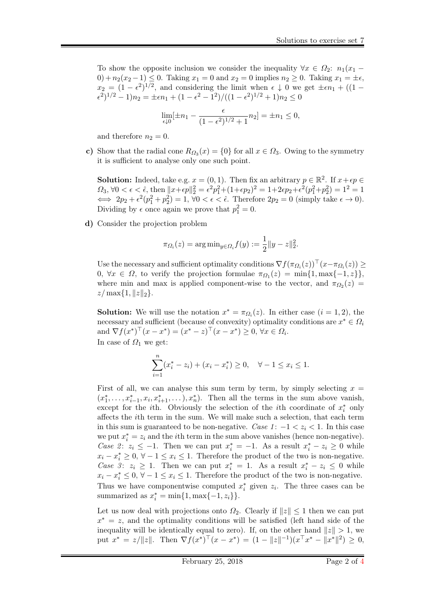To show the opposite inclusion we consider the inequality  $\forall x \in \Omega_2$ :  $n_1(x_1 -$ 0) +  $n_2(x_2 - 1) \le 0$ . Taking  $x_1 = 0$  and  $x_2 = 0$  implies  $n_2 \ge 0$ . Taking  $x_1 = \pm \epsilon$ ,  $x_2 = (1 - \epsilon^2)^{1/2}$ , and considering the limit when  $\epsilon \downarrow 0$  we get  $\pm \epsilon n_1 + ((1 - \epsilon^2)^{1/2})$  $(\epsilon^2)^{1/2} - 1)n_2 = \pm \epsilon n_1 + (1 - \epsilon^2 - 1^2) / ((1 - \epsilon^2)^{1/2} + 1)n_2 \leq 0$ 

$$
\lim_{\epsilon \downarrow 0} [\pm n_1 - \frac{\epsilon}{(1 - \epsilon^2)^{1/2} + 1} n_2] = \pm n_1 \le 0,
$$

and therefore  $n_2 = 0$ .

c) Show that the radial cone  $R_{\Omega_3}(x) = \{0\}$  for all  $x \in \Omega_3$ . Owing to the symmetry it is sufficient to analyse only one such point.

**Solution:** Indeed, take e.g.  $x = (0, 1)$ . Then fix an arbitrary  $p \in \mathbb{R}^2$ . If  $x + \epsilon p \in$  $Ω_3$ , ∀0 <  $\epsilon$  <  $\hat{\epsilon}$ , then  $||x + \epsilon p||_2^2 = \epsilon^2 p_1^2 + (1 + \epsilon p_2)^2 = 1 + 2\epsilon p_2 + \epsilon^2 (p_1^2 + p_2^2) = 1^2 = 1$  $\iff 2p_2 + \epsilon^2(p_1^2 + p_2^2) = 1, \forall 0 < \epsilon < \hat{\epsilon}$ . Therefore  $2p_2 = 0$  (simply take  $\epsilon \to 0$ ). Dividing by  $\epsilon$  once again we prove that  $p_1^2 = 0$ .

d) Consider the projection problem

$$
\pi_{\Omega_i}(z) = \arg \min_{y \in \Omega_i} f(y) := \frac{1}{2} \|y - z\|_2^2.
$$

Use the necessary and sufficient optimality conditions  $\nabla f(\pi_{\Omega_i}(z))^{\top} (x-\pi_{\Omega_i}(z)) \geq$  $0, \forall x \in \Omega$ , to verify the projection formulae  $\pi_{\Omega_1}(z) = \min\{1, \max\{-1, z\}\}\,$ where min and max is applied component-wise to the vector, and  $\pi_{\Omega_2}(z)$  $z/\max\{1,\|z\|_2\}.$ 

**Solution:** We will use the notation  $x^* = \pi_{\Omega_i}(z)$ . In either case  $(i = 1, 2)$ , the necessary and sufficient (because of convexity) optimality conditions are  $x^* \in \Omega_i$ and  $\nabla f(x^*)^\top (x - x^*) = (x^* - z)^\top (x - x^*) \geq 0, \forall x \in \Omega_i$ .

In case of  $\Omega_1$  we get:

$$
\sum_{i=1}^{n} (x_i^* - z_i) + (x_i - x_i^*) \ge 0, \quad \forall -1 \le x_i \le 1.
$$

First of all, we can analyse this sum term by term, by simply selecting  $x =$  $(x_1^*, \ldots, x_{i-1}^*, x_i, x_{i+1}^*, \ldots), x_n^*$ . Then all the terms in the sum above vanish, except for the *i*th. Obviously the selection of the *i*<sup>th</sup> coordinate of  $x_i^*$  only affects the ith term in the sum. We will make such a selection, that each term in this sum is guaranteed to be non-negative. Case 1:  $-1 < z_i < 1$ . In this case we put  $x_i^* = z_i$  and the *i*<sup>th</sup> term in the sum above vanishes (hence non-negative). Case 2:  $z_i \leq -1$ . Then we can put  $x_i^* = -1$ . As a result  $x_i^* - z_i \geq 0$  while  $x_i - x_i^* \geq 0, \forall -1 \leq x_i \leq 1.$  Therefore the product of the two is non-negative. Case 3:  $z_i \geq 1$ . Then we can put  $x_i^* = 1$ . As a result  $x_i^* - z_i \leq 0$  while  $x_i - x_i^* \leq 0, \forall -1 \leq x_i \leq 1.$  Therefore the product of the two is non-negative. Thus we have componentwise computed  $x_i^*$  given  $z_i$ . The three cases can be summarized as  $x_i^* = \min\{1, \max\{-1, z_i\}\}.$ 

Let us now deal with projections onto  $\Omega_2$ . Clearly if  $||z|| \leq 1$  then we can put  $x^* = z$ , and the optimality conditions will be satisfied (left hand side of the inequality will be identically equal to zero). If, on the other hand  $||z|| > 1$ , we put  $x^* = z/||z||$ . Then  $\nabla f(x^*)^\top (x - x^*) = (1 - ||z||^{-1})(x^\top x^* - ||x^*||^2) \geq 0$ ,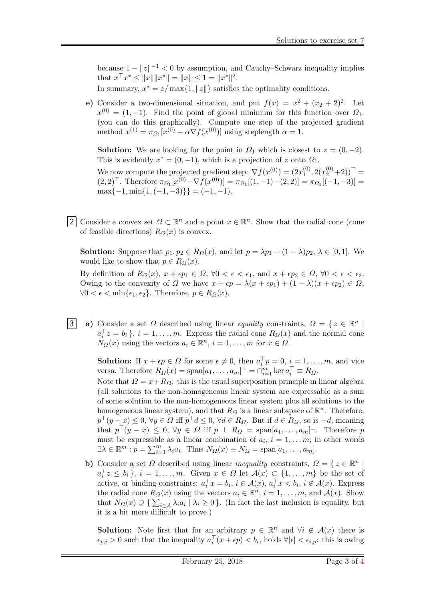because  $1 - ||z||^{-1} < 0$  by assumption, and Cauchy–Schwarz inequality implies that  $x^{\top} x^* \le ||x|| ||x^*|| = ||x|| \le 1 = ||x^*||^2$ . In summary,  $x^* = z / max\{1, ||z||\}$  satisfies the optimality conditions.

e) Consider a two-dimensional situation, and put  $f(x) = x_1^2 + (x_2 + 2)^2$ . Let  $x^{(0)} = (1, -1)$ . Find the point of global minimum for this function over  $\Omega_1$ . (you can do this graphically). Compute one step of the projected gradient method  $x^{(1)} = \pi_{\Omega_1}[x^{(0)} - \alpha \nabla f(x^{(0)})]$  using steplength  $\alpha = 1$ .

**Solution:** We are looking for the point in  $\Omega_1$  which is closest to  $z = (0, -2)$ . This is evidently  $x^* = (0, -1)$ , which is a projection of z onto  $\Omega_1$ .

We now compute the projected gradient step:  $\nabla f(x^{(0)}) = (2x_1^{(0)})$  $x_1^{(0)}, 2(x_2^{(0)}+2)$ <sup>T</sup> =  $(2,2)^\top$ . Therefore  $\pi_{\Omega_1}[x^{(0)} - \nabla f(x^{(0)})] = \pi_{\Omega_1}[(1,-1) - (2,2)] = \pi_{\Omega_1}[(-1,-3)] =$  $\max\{-1, \min\{1, (-1, -3)\}\} = (-1, -1).$ 

2 Consider a convex set  $\Omega \subset \mathbb{R}^n$  and a point  $x \in \mathbb{R}^n$ . Show that the radial cone (cone of feasible directions)  $R_{\Omega}(x)$  is convex.

**Solution:** Suppose that  $p_1, p_2 \in R_{\Omega}(x)$ , and let  $p = \lambda p_1 + (1 - \lambda)p_2, \lambda \in [0, 1]$ . We would like to show that  $p \in R_{\Omega}(x)$ .

By definition of  $R_{\Omega}(x)$ ,  $x + \epsilon p_1 \in \Omega$ ,  $\forall 0 < \epsilon < \epsilon_1$ , and  $x + \epsilon p_2 \in \Omega$ ,  $\forall 0 < \epsilon < \epsilon_2$ . Owing to the convexity of  $\Omega$  we have  $x + \epsilon p = \lambda(x + \epsilon p_1) + (1 - \lambda)(x + \epsilon p_2) \in \Omega$ ,  $\forall 0 < \epsilon < \min\{\epsilon_1, \epsilon_2\}.$  Therefore,  $p \in R_{\Omega}(x)$ .

3 a) Consider a set  $\Omega$  described using linear equality constraints,  $\Omega = \{z \in \mathbb{R}^n \mid z \in \mathbb{R}^n \mid z \in \mathbb{R}^n \mid z \in \mathbb{R}^n \mid z \in \mathbb{R}^n \mid z \in \mathbb{R}^n \mid z \in \mathbb{R}^n \}$  $a_i^{\top}z = b_i$ ,  $i = 1, ..., m$ . Express the radial cone  $R_{\Omega}(x)$  and the normal cone  $N_{\Omega}(x)$  using the vectors  $a_i \in \mathbb{R}^n$ ,  $i = 1, \ldots, m$  for  $x \in \Omega$ .

**Solution:** If  $x + \epsilon p \in \Omega$  for some  $\epsilon \neq 0$ , then  $a_i^{\top} p = 0$ ,  $i = 1, \ldots, m$ , and vice versa. Therefore  $R_{\Omega}(x) = \text{span}[a_1, \ldots, a_m]^{\perp} = \bigcap_{i=1}^{m} \ker a_i^{\top} \equiv R_{\Omega}.$ 

Note that  $\Omega = x + R_{\Omega}$ : this is the usual superposition principle in linear algebra (all solutions to the non-homogeneous linear system are expressable as a sum of some solution to the non-homogeneous linear system plus all solutions to the homogeneous linear system), and that  $R_Q$  is a linear subspace of  $\mathbb{R}^n$ . Therefore,  $p^{\top}(y-x) \leq 0, \forall y \in \Omega \text{ iff } p^{\top}d \leq 0, \forall d \in R_{\Omega}$ . But if  $d \in R_{\Omega}$ , so is  $-d$ , meaning that  $p^{\top}(y-x) \leq 0$ ,  $\forall y \in \Omega$  iff  $p \perp R_{\Omega} = \text{span}[a_1,\ldots,a_m]^{\perp}$ . Therefore p must be expressible as a linear combination of  $a_i$ ,  $i = 1, \ldots m$ ; in other words  $\exists \lambda \in \mathbb{R}^m : p = \sum_{i=1}^m \lambda_i a_i$ . Thus  $N_{\Omega}(x) \equiv N_{\Omega} = \text{span}[a_1, \dots, a_m]$ .

b) Consider a set  $\Omega$  described using linear *inequality* constraints,  $\Omega = \{ z \in \mathbb{R}^n \mid z \in \mathbb{R}^n \}$  $a_i^{\top}z \leq b_i$ ,  $i = 1, \ldots, m$ . Given  $x \in \Omega$  let  $\mathcal{A}(x) \subsetneq \{1, \ldots, m\}$  be the set of active, or binding constraints:  $a_i^{\top} x = b_i$ ,  $i \in \mathcal{A}(x)$ ,  $a_i^{\top} x < b_i$ ,  $i \notin \mathcal{A}(x)$ . Express the radial cone  $R_{\Omega}(x)$  using the vectors  $a_i \in \mathbb{R}^n$ ,  $i = 1, \ldots, m$ , and  $\mathcal{A}(x)$ . Show that  $N_{\Omega}(x) \supseteq {\sum_{i \in \mathcal{A}} \lambda_i a_i \mid \lambda_i \geq 0}$ . (In fact the last inclusion is equality, but it is a bit more difficult to prove.)

**Solution:** Note first that for an arbitrary  $p \in \mathbb{R}^n$  and  $\forall i \notin \mathcal{A}(x)$  there is  $\epsilon_{p,i} > 0$  such that the inequality  $a_i^{\top}(x + \epsilon p) < b_i$ , holds  $\forall |\epsilon| < \epsilon_{i,p}$ : this is owing